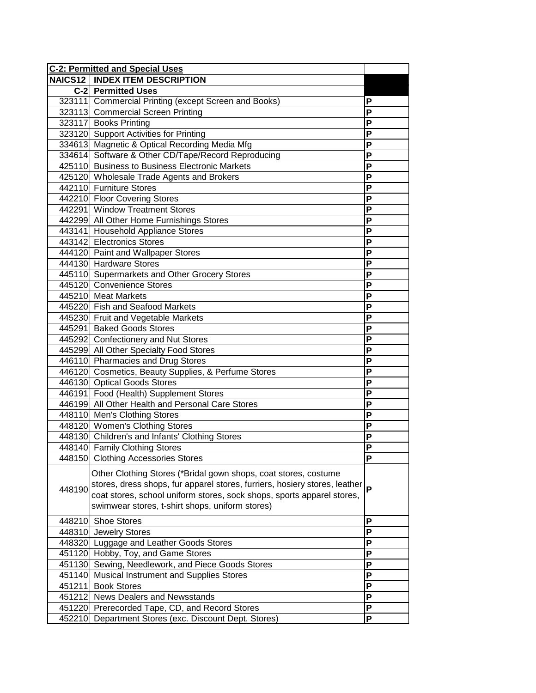| <b>C-2: Permitted and Special Uses</b> |                                                                                                                                                                                                                                                                               |                         |
|----------------------------------------|-------------------------------------------------------------------------------------------------------------------------------------------------------------------------------------------------------------------------------------------------------------------------------|-------------------------|
|                                        | <b>NAICS12   INDEX ITEM DESCRIPTION</b>                                                                                                                                                                                                                                       |                         |
|                                        | C-2 Permitted Uses                                                                                                                                                                                                                                                            |                         |
|                                        | 323111 Commercial Printing (except Screen and Books)                                                                                                                                                                                                                          | P                       |
|                                        | 323113 Commercial Screen Printing                                                                                                                                                                                                                                             | P                       |
|                                        | 323117 Books Printing                                                                                                                                                                                                                                                         | P                       |
|                                        | 323120 Support Activities for Printing                                                                                                                                                                                                                                        | P                       |
|                                        | 334613 Magnetic & Optical Recording Media Mfg                                                                                                                                                                                                                                 | P                       |
|                                        | 334614 Software & Other CD/Tape/Record Reproducing                                                                                                                                                                                                                            | P                       |
|                                        | 425110 Business to Business Electronic Markets                                                                                                                                                                                                                                | P                       |
|                                        | 425120 Wholesale Trade Agents and Brokers                                                                                                                                                                                                                                     | P                       |
|                                        | 442110 Furniture Stores                                                                                                                                                                                                                                                       | P                       |
|                                        | 442210 Floor Covering Stores                                                                                                                                                                                                                                                  | P                       |
|                                        | 442291 Window Treatment Stores                                                                                                                                                                                                                                                | P                       |
|                                        | 442299 All Other Home Furnishings Stores                                                                                                                                                                                                                                      | P                       |
|                                        | 443141 Household Appliance Stores                                                                                                                                                                                                                                             | P                       |
|                                        | 443142 Electronics Stores                                                                                                                                                                                                                                                     | P                       |
|                                        | 444120 Paint and Wallpaper Stores                                                                                                                                                                                                                                             | P                       |
|                                        | 444130 Hardware Stores                                                                                                                                                                                                                                                        | P                       |
|                                        | 445110 Supermarkets and Other Grocery Stores                                                                                                                                                                                                                                  | P                       |
|                                        | 445120 Convenience Stores                                                                                                                                                                                                                                                     | P                       |
|                                        | 445210 Meat Markets                                                                                                                                                                                                                                                           | P                       |
|                                        | 445220 Fish and Seafood Markets                                                                                                                                                                                                                                               | P                       |
|                                        | 445230 Fruit and Vegetable Markets                                                                                                                                                                                                                                            | P                       |
|                                        | 445291 Baked Goods Stores                                                                                                                                                                                                                                                     | P                       |
|                                        | 445292 Confectionery and Nut Stores                                                                                                                                                                                                                                           | P                       |
|                                        | 445299 All Other Specialty Food Stores                                                                                                                                                                                                                                        | P                       |
|                                        | 446110 Pharmacies and Drug Stores                                                                                                                                                                                                                                             | P                       |
|                                        | 446120 Cosmetics, Beauty Supplies, & Perfume Stores                                                                                                                                                                                                                           | P                       |
|                                        | 446130 Optical Goods Stores                                                                                                                                                                                                                                                   | P                       |
|                                        | 446191 Food (Health) Supplement Stores                                                                                                                                                                                                                                        | P                       |
|                                        | 446199 All Other Health and Personal Care Stores                                                                                                                                                                                                                              | P                       |
|                                        | 448110 Men's Clothing Stores                                                                                                                                                                                                                                                  | P                       |
|                                        | 448120 Women's Clothing Stores                                                                                                                                                                                                                                                | P                       |
|                                        | 448130 Children's and Infants' Clothing Stores                                                                                                                                                                                                                                | $\overline{\mathsf{P}}$ |
|                                        | 448140 Family Clothing Stores                                                                                                                                                                                                                                                 | P                       |
|                                        | 448150 Clothing Accessories Stores                                                                                                                                                                                                                                            | ۲                       |
| 448190                                 | Other Clothing Stores (*Bridal gown shops, coat stores, costume<br>stores, dress shops, fur apparel stores, furriers, hosiery stores, leather  p<br>coat stores, school uniform stores, sock shops, sports apparel stores,<br>swimwear stores, t-shirt shops, uniform stores) |                         |
|                                        | 448210 Shoe Stores                                                                                                                                                                                                                                                            | P                       |
|                                        | 448310 Jewelry Stores                                                                                                                                                                                                                                                         | P                       |
|                                        | 448320 Luggage and Leather Goods Stores                                                                                                                                                                                                                                       | P                       |
|                                        | 451120 Hobby, Toy, and Game Stores                                                                                                                                                                                                                                            | P                       |
|                                        | 451130 Sewing, Needlework, and Piece Goods Stores                                                                                                                                                                                                                             | P                       |
|                                        | 451140 Musical Instrument and Supplies Stores                                                                                                                                                                                                                                 | P                       |
|                                        | 451211 Book Stores                                                                                                                                                                                                                                                            | P                       |
|                                        | 451212 News Dealers and Newsstands                                                                                                                                                                                                                                            | P                       |
|                                        | 451220 Prerecorded Tape, CD, and Record Stores                                                                                                                                                                                                                                | P                       |
|                                        | 452210 Department Stores (exc. Discount Dept. Stores)                                                                                                                                                                                                                         | P                       |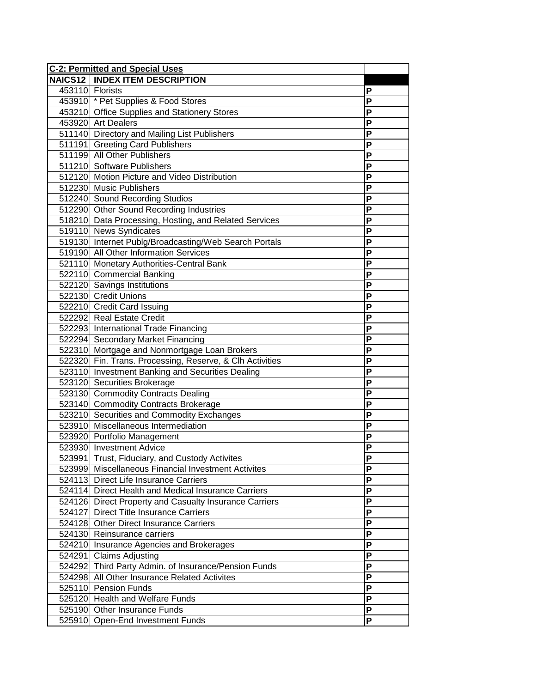| <b>C-2: Permitted and Special Uses</b> |                                                          |                         |
|----------------------------------------|----------------------------------------------------------|-------------------------|
|                                        | <b>NAICS12   INDEX ITEM DESCRIPTION</b>                  |                         |
|                                        | 453110 Florists                                          | P                       |
|                                        | 453910 * Pet Supplies & Food Stores                      | P                       |
|                                        | 453210 Office Supplies and Stationery Stores             | P                       |
|                                        | 453920 Art Dealers                                       | P                       |
|                                        | 511140 Directory and Mailing List Publishers             | P                       |
|                                        | 511191 Greeting Card Publishers                          | P                       |
|                                        | 511199 All Other Publishers                              | $\overline{P}$          |
|                                        | 511210 Software Publishers                               | P                       |
|                                        | 512120 Motion Picture and Video Distribution             | P                       |
|                                        | 512230 Music Publishers                                  | P                       |
|                                        | 512240 Sound Recording Studios                           | P                       |
|                                        | 512290 Other Sound Recording Industries                  | P                       |
|                                        | 518210 Data Processing, Hosting, and Related Services    | P                       |
|                                        | 519110 News Syndicates                                   | P                       |
|                                        | 519130 Internet Publg/Broadcasting/Web Search Portals    | P                       |
|                                        | 519190 All Other Information Services                    | $\overline{\mathsf{P}}$ |
|                                        | 521110 Monetary Authorities-Central Bank                 | P                       |
|                                        | 522110 Commercial Banking                                | P                       |
|                                        | 522120 Savings Institutions                              | P                       |
|                                        | 522130 Credit Unions                                     | P                       |
|                                        | 522210 Credit Card Issuing                               | P                       |
|                                        | 522292 Real Estate Credit                                | P                       |
|                                        | 522293 International Trade Financing                     | P                       |
|                                        | 522294 Secondary Market Financing                        | $\overline{P}$          |
|                                        | 522310 Mortgage and Nonmortgage Loan Brokers             | $\overline{\mathsf{P}}$ |
|                                        | 522320 Fin. Trans. Processing, Reserve, & Clh Activities | $\overline{\mathsf{P}}$ |
|                                        | 523110 Investment Banking and Securities Dealing         | P                       |
|                                        | 523120 Securities Brokerage                              | $\overline{\mathsf{P}}$ |
|                                        | 523130 Commodity Contracts Dealing                       | P                       |
|                                        | 523140 Commodity Contracts Brokerage                     | $\overline{P}$          |
|                                        | 523210 Securities and Commodity Exchanges                | $\overline{P}$          |
|                                        | 523910 Miscellaneous Intermediation                      | $\overline{\mathsf{P}}$ |
|                                        | 523920 Portfolio Management                              | P                       |
|                                        | 523930 Investment Advice                                 | P                       |
|                                        | 523991 Trust, Fiduciary, and Custody Activites           | Ρ                       |
|                                        | 523999 Miscellaneous Financial Investment Activites      | P                       |
|                                        | 524113 Direct Life Insurance Carriers                    | P                       |
|                                        | 524114 Direct Health and Medical Insurance Carriers      | P                       |
|                                        | 524126 Direct Property and Casualty Insurance Carriers   | P                       |
| 524127                                 | <b>Direct Title Insurance Carriers</b>                   | P                       |
|                                        | 524128 Other Direct Insurance Carriers                   | P                       |
|                                        | 524130 Reinsurance carriers                              | P                       |
|                                        | 524210 Insurance Agencies and Brokerages                 | P                       |
|                                        | 524291 Claims Adjusting                                  | P                       |
|                                        | 524292 Third Party Admin. of Insurance/Pension Funds     | P                       |
| 524298                                 | All Other Insurance Related Activites                    | P                       |
|                                        | 525110 Pension Funds                                     | P                       |
|                                        | 525120 Health and Welfare Funds                          | $\overline{P}$          |
|                                        | 525190 Other Insurance Funds                             | $\overline{\mathsf{P}}$ |
|                                        | 525910 Open-End Investment Funds                         | $\overline{P}$          |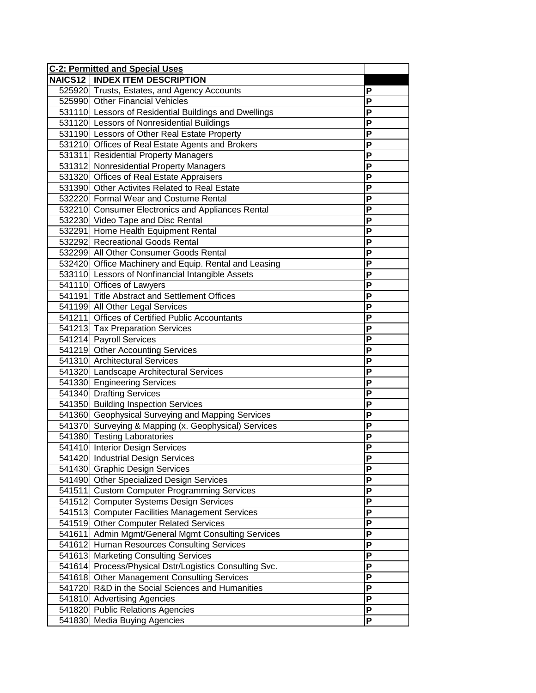| <b>C-2: Permitted and Special Uses</b> |                                                        |                |
|----------------------------------------|--------------------------------------------------------|----------------|
|                                        | <b>NAICS12   INDEX ITEM DESCRIPTION</b>                |                |
|                                        | 525920 Trusts, Estates, and Agency Accounts            | Ρ              |
|                                        | 525990 Other Financial Vehicles                        | P              |
|                                        | 531110 Lessors of Residential Buildings and Dwellings  | P              |
|                                        | 531120 Lessors of Nonresidential Buildings             | P              |
|                                        | 531190 Lessors of Other Real Estate Property           | P              |
|                                        | 531210 Offices of Real Estate Agents and Brokers       | P              |
|                                        | 531311 Residential Property Managers                   | P              |
|                                        | 531312 Nonresidential Property Managers                | P              |
|                                        | 531320 Offices of Real Estate Appraisers               | P              |
|                                        | 531390 Other Activites Related to Real Estate          | P              |
|                                        | 532220 Formal Wear and Costume Rental                  | P              |
|                                        | 532210 Consumer Electronics and Appliances Rental      | P              |
|                                        | 532230 Video Tape and Disc Rental                      | P              |
|                                        | 532291 Home Health Equipment Rental                    | P              |
|                                        | 532292 Recreational Goods Rental                       | P              |
|                                        | 532299 All Other Consumer Goods Rental                 | P              |
|                                        | 532420 Office Machinery and Equip. Rental and Leasing  | P              |
|                                        | 533110 Lessors of Nonfinancial Intangible Assets       | P              |
|                                        | 541110 Offices of Lawyers                              | P              |
|                                        | 541191 Title Abstract and Settlement Offices           | P              |
|                                        | 541199 All Other Legal Services                        | P              |
|                                        | 541211 Offices of Certified Public Accountants         | P              |
|                                        | 541213 Tax Preparation Services                        | P              |
|                                        | 541214 Payroll Services                                | P              |
|                                        | 541219 Other Accounting Services                       | P              |
|                                        | 541310 Architectural Services                          | P              |
|                                        | 541320 Landscape Architectural Services                | P              |
|                                        | 541330 Engineering Services                            | P              |
|                                        | 541340 Drafting Services                               | P              |
|                                        | 541350 Building Inspection Services                    | P              |
|                                        | 541360 Geophysical Surveying and Mapping Services      | P              |
|                                        | 541370 Surveying & Mapping (x. Geophysical) Services   | $\overline{P}$ |
|                                        | 541380 Testing Laboratories                            | P              |
|                                        | 541410 Interior Design Services                        | P              |
|                                        | 541420 Industrial Design Services                      | Р              |
|                                        | 541430 Graphic Design Services                         | Ρ              |
|                                        | 541490 Other Specialized Design Services               | P              |
|                                        | 541511 Custom Computer Programming Services            | P              |
|                                        | 541512 Computer Systems Design Services                | P              |
|                                        | 541513 Computer Facilities Management Services         | P              |
|                                        | 541519 Other Computer Related Services                 | P              |
| 541611                                 | Admin Mgmt/General Mgmt Consulting Services            | P              |
|                                        | 541612 Human Resources Consulting Services             | P              |
|                                        | 541613 Marketing Consulting Services                   | P              |
|                                        | 541614 Process/Physical Dstr/Logistics Consulting Svc. | P              |
|                                        | 541618 Other Management Consulting Services            | P              |
|                                        | 541720 R&D in the Social Sciences and Humanities       | P              |
|                                        | 541810 Advertising Agencies                            | P              |
|                                        | 541820 Public Relations Agencies                       | P              |
|                                        | 541830 Media Buying Agencies                           | P              |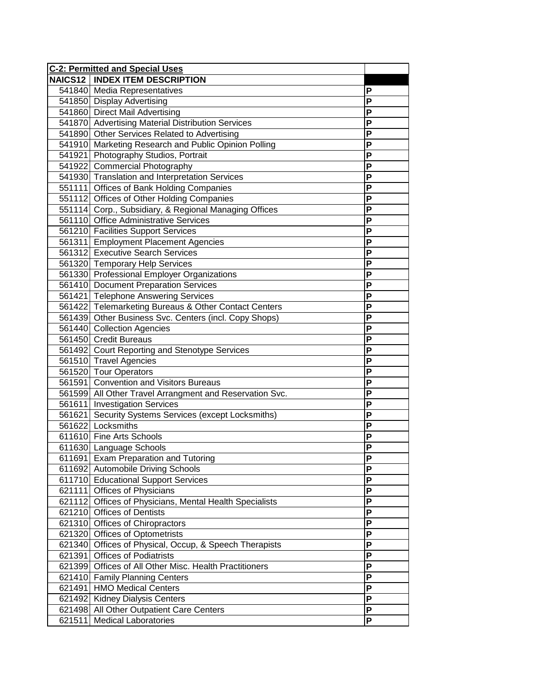| <b>C-2: Permitted and Special Uses</b> |                                                         |                           |
|----------------------------------------|---------------------------------------------------------|---------------------------|
|                                        | <b>NAICS12   INDEX ITEM DESCRIPTION</b>                 |                           |
|                                        | 541840 Media Representatives                            | P                         |
|                                        | 541850 Display Advertising                              | P                         |
|                                        | 541860 Direct Mail Advertising                          | P                         |
|                                        | 541870 Advertising Material Distribution Services       | P                         |
|                                        | 541890 Other Services Related to Advertising            | P                         |
|                                        | 541910 Marketing Research and Public Opinion Polling    | P                         |
|                                        | 541921 Photography Studios, Portrait                    | P                         |
|                                        | 541922 Commercial Photography                           | P                         |
|                                        | 541930 Translation and Interpretation Services          | P                         |
|                                        | 551111 Offices of Bank Holding Companies                | P                         |
|                                        | 551112 Offices of Other Holding Companies               | P                         |
|                                        | 551114 Corp., Subsidiary, & Regional Managing Offices   | P                         |
|                                        | 561110 Office Administrative Services                   | P                         |
|                                        | 561210 Facilities Support Services                      | P                         |
|                                        | 561311 Employment Placement Agencies                    | P                         |
|                                        | 561312 Executive Search Services                        | P                         |
|                                        | 561320 Temporary Help Services                          | P                         |
|                                        | 561330 Professional Employer Organizations              | P                         |
|                                        | 561410 Document Preparation Services                    | P                         |
|                                        | 561421 Telephone Answering Services                     | P                         |
|                                        | 561422 Telemarketing Bureaus & Other Contact Centers    | P                         |
|                                        | 561439 Other Business Svc. Centers (incl. Copy Shops)   | P                         |
|                                        | 561440 Collection Agencies                              | P                         |
|                                        | 561450 Credit Bureaus                                   | P                         |
|                                        | 561492 Court Reporting and Stenotype Services           | P                         |
|                                        | 561510 Travel Agencies                                  | P                         |
|                                        | 561520 Tour Operators                                   | P                         |
|                                        | 561591 Convention and Visitors Bureaus                  | P                         |
|                                        | 561599 All Other Travel Arrangment and Reservation Svc. | P                         |
|                                        | 561611 Investigation Services                           | P                         |
|                                        | 561621 Security Systems Services (except Locksmiths)    | $\overline{P}$            |
|                                        | 561622 Locksmiths                                       | P                         |
|                                        | 611610 Fine Arts Schools                                | P                         |
|                                        | 611630 Language Schools                                 | P                         |
|                                        | 611691 Exam Preparation and Tutoring                    | P                         |
|                                        | 611692 Automobile Driving Schools                       | P                         |
|                                        | 611710 Educational Support Services                     | P                         |
|                                        | 621111 Offices of Physicians                            | P                         |
|                                        | 621112 Offices of Physicians, Mental Health Specialists | P                         |
|                                        | 621210 Offices of Dentists                              | P                         |
|                                        | 621310 Offices of Chiropractors                         | P                         |
|                                        | 621320 Offices of Optometrists                          | P                         |
|                                        | 621340 Offices of Physical, Occup, & Speech Therapists  | P                         |
|                                        | 621391 Offices of Podiatrists                           | P                         |
|                                        | 621399 Offices of All Other Misc. Health Practitioners  | P                         |
|                                        | 621410 Family Planning Centers                          | P                         |
|                                        | 621491 HMO Medical Centers                              | P                         |
|                                        | 621492 Kidney Dialysis Centers                          | $\overline{P}$            |
|                                        | 621498 All Other Outpatient Care Centers                | $\boldsymbol{\mathsf{P}}$ |
| 621511                                 | <b>Medical Laboratories</b>                             | P                         |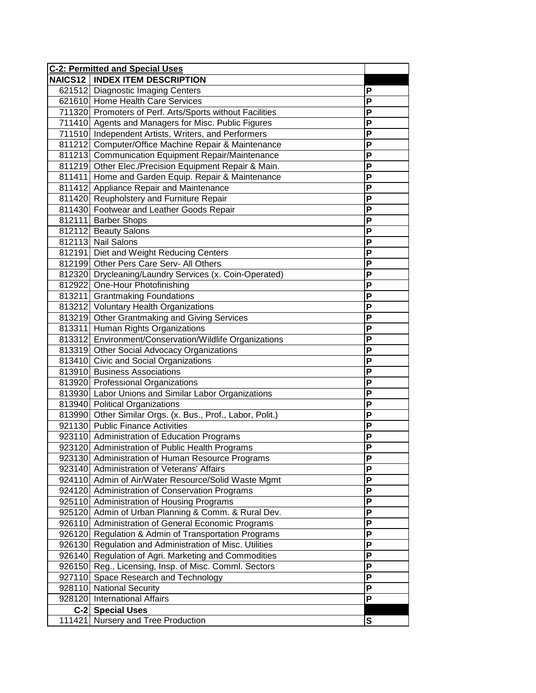| <b>C-2: Permitted and Special Uses</b> |                                                            |                |
|----------------------------------------|------------------------------------------------------------|----------------|
|                                        | <b>NAICS12   INDEX ITEM DESCRIPTION</b>                    |                |
|                                        | 621512 Diagnostic Imaging Centers                          | P              |
|                                        | 621610 Home Health Care Services                           | P              |
|                                        | 711320 Promoters of Perf. Arts/Sports without Facilities   | P              |
|                                        | 711410 Agents and Managers for Misc. Public Figures        | P              |
|                                        | 711510 Independent Artists, Writers, and Performers        | P              |
|                                        | 811212 Computer/Office Machine Repair & Maintenance        | P              |
|                                        | 811213 Communication Equipment Repair/Maintenance          | P              |
|                                        | 811219 Other Elec./Precision Equipment Repair & Main.      | P              |
|                                        | 811411 Home and Garden Equip. Repair & Maintenance         | P              |
|                                        | 811412 Appliance Repair and Maintenance                    | P              |
|                                        | 811420 Reupholstery and Furniture Repair                   | P              |
|                                        | 811430 Footwear and Leather Goods Repair                   | P              |
|                                        | 812111 Barber Shops                                        | P              |
|                                        | 812112 Beauty Salons                                       | P              |
|                                        | 812113 Nail Salons                                         | P              |
|                                        | 812191 Diet and Weight Reducing Centers                    | P              |
|                                        | 812199 Other Pers Care Serv- All Others                    | P              |
|                                        | 812320 Drycleaning/Laundry Services (x. Coin-Operated)     | P              |
|                                        | 812922 One-Hour Photofinishing                             | P              |
|                                        | 813211 Grantmaking Foundations                             | P              |
|                                        | 813212 Voluntary Health Organizations                      | P              |
|                                        | 813219 Other Grantmaking and Giving Services               | P              |
|                                        | 813311 Human Rights Organizations                          | P              |
|                                        | 813312 Environment/Conservation/Wildlife Organizations     | P              |
|                                        | 813319 Other Social Advocacy Organizations                 | $\mathsf{P}$   |
|                                        | 813410 Civic and Social Organizations                      | P              |
|                                        | 813910 Business Associations                               | $\mathsf P$    |
|                                        | 813920 Professional Organizations                          | P              |
|                                        | 813930 Labor Unions and Similar Labor Organizations        | P              |
|                                        | 813940 Political Organizations                             | P              |
|                                        | 813990 Other Similar Orgs. (x. Bus., Prof., Labor, Polit.) | P              |
|                                        | 921130 Public Finance Activities                           | $\overline{P}$ |
|                                        | 923110 Administration of Education Programs                | P              |
|                                        | 923120 Administration of Public Health Programs            | P              |
|                                        | 923130 Administration of Human Resource Programs           | Р              |
|                                        | 923140 Administration of Veterans' Affairs                 | P              |
|                                        | 924110 Admin of Air/Water Resource/Solid Waste Mgmt        | P              |
|                                        | 924120 Administration of Conservation Programs             | P              |
|                                        | 925110 Administration of Housing Programs                  | P              |
|                                        | 925120 Admin of Urban Planning & Comm. & Rural Dev.        | P              |
|                                        | 926110 Administration of General Economic Programs         | P              |
|                                        | 926120 Regulation & Admin of Transportation Programs       | P              |
|                                        | 926130 Regulation and Administration of Misc. Utilities    | P              |
|                                        | 926140 Regulation of Agri. Marketing and Commodities       | P              |
|                                        | 926150 Reg., Licensing, Insp. of Misc. Comml. Sectors      | P              |
|                                        | 927110 Space Research and Technology                       | P              |
|                                        | 928110 National Security                                   | P              |
|                                        | 928120 International Affairs                               | P              |
|                                        | C-2 Special Uses                                           |                |
|                                        | 111421 Nursery and Tree Production                         | $\mathbf s$    |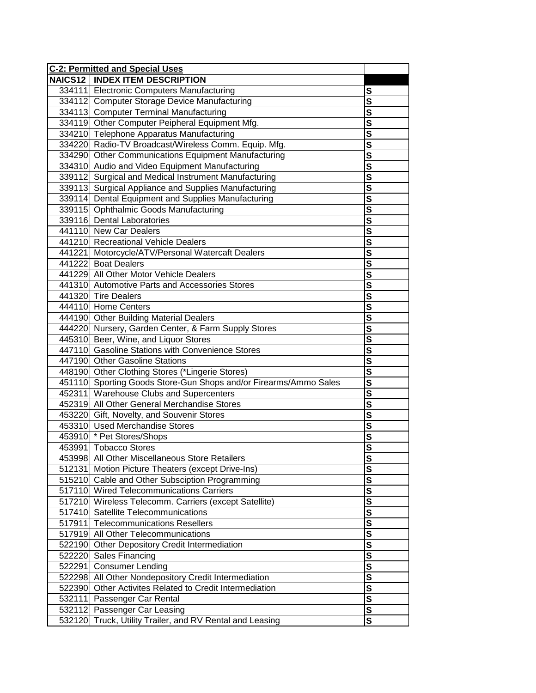| <b>C-2: Permitted and Special Uses</b> |                                                                  |                         |
|----------------------------------------|------------------------------------------------------------------|-------------------------|
|                                        | <b>NAICS12   INDEX ITEM DESCRIPTION</b>                          |                         |
|                                        | 334111 Electronic Computers Manufacturing                        | $\overline{\mathbf{s}}$ |
|                                        | 334112 Computer Storage Device Manufacturing                     | $\overline{\mathsf{s}}$ |
|                                        | 334113 Computer Terminal Manufacturing                           | $\overline{\mathbf{s}}$ |
|                                        | 334119 Other Computer Peipheral Equipment Mfg.                   | $\overline{\mathbf{s}}$ |
|                                        | 334210 Telephone Apparatus Manufacturing                         | $\overline{\mathsf{s}}$ |
|                                        | 334220 Radio-TV Broadcast/Wireless Comm. Equip. Mfg.             | $\overline{\mathsf{s}}$ |
|                                        | 334290 Other Communications Equipment Manufacturing              | $\overline{\mathbf{s}}$ |
|                                        | 334310 Audio and Video Equipment Manufacturing                   | $\overline{\mathbf{s}}$ |
|                                        | 339112 Surgical and Medical Instrument Manufacturing             | $\overline{\mathbf{s}}$ |
|                                        | 339113 Surgical Appliance and Supplies Manufacturing             | $\overline{\mathbf{s}}$ |
|                                        | 339114 Dental Equipment and Supplies Manufacturing               | $\overline{\mathbf{s}}$ |
|                                        | 339115 Ophthalmic Goods Manufacturing                            | $\overline{\mathsf{s}}$ |
|                                        | 339116 Dental Laboratories                                       | $\overline{\mathsf{s}}$ |
|                                        | 441110 New Car Dealers                                           | $\overline{\mathsf{s}}$ |
|                                        | 441210 Recreational Vehicle Dealers                              | $\overline{\mathsf{s}}$ |
|                                        | 441221 Motorcycle/ATV/Personal Watercaft Dealers                 | $\overline{\mathbf{s}}$ |
|                                        | 441222 Boat Dealers                                              | $\overline{\mathbf{s}}$ |
|                                        | 441229 All Other Motor Vehicle Dealers                           | $\overline{\mathbf{s}}$ |
|                                        | 441310 Automotive Parts and Accessories Stores                   | $\overline{\mathsf{s}}$ |
|                                        | 441320 Tire Dealers                                              | $\overline{\mathbf{s}}$ |
|                                        | 444110 Home Centers                                              | $\overline{\mathbf{s}}$ |
|                                        | 444190 Other Building Material Dealers                           | $\overline{\mathsf{s}}$ |
|                                        | 444220 Nursery, Garden Center, & Farm Supply Stores              | $\overline{\mathsf{s}}$ |
|                                        | 445310 Beer, Wine, and Liquor Stores                             | $\overline{\mathbf{s}}$ |
|                                        | 447110 Gasoline Stations with Convenience Stores                 | $\overline{\mathsf{s}}$ |
|                                        | 447190 Other Gasoline Stations                                   | $\overline{\mathbf{s}}$ |
|                                        | 448190 Other Clothing Stores (*Lingerie Stores)                  |                         |
|                                        | 451110 Sporting Goods Store-Gun Shops and/or Firearms/Ammo Sales | $\overline{\mathsf{s}}$ |
|                                        | 452311   Warehouse Clubs and Supercenters                        | $\overline{\mathsf{s}}$ |
|                                        | 452319 All Other General Merchandise Stores                      | $\overline{\mathsf{s}}$ |
|                                        | 453220 Gift, Novelty, and Souvenir Stores                        |                         |
|                                        | 453310 Used Merchandise Stores                                   | $\overline{\mathsf{s}}$ |
|                                        | 453910 * Pet Stores/Shops                                        | $\overline{\mathbf{s}}$ |
|                                        | 453991 Tobacco Stores                                            | $\overline{\mathbf{s}}$ |
|                                        | 453998 All Other Miscellaneous Store Retailers                   | <u>s</u>                |
|                                        | 512131   Motion Picture Theaters (except Drive-Ins)              | S                       |
|                                        | 515210 Cable and Other Subsciption Programming                   | S                       |
|                                        | 517110 Wired Telecommunications Carriers                         | $\overline{\mathsf{s}}$ |
|                                        | 517210 Wireless Telecomm. Carriers (except Satellite)            | $\overline{\mathsf{s}}$ |
|                                        | 517410 Satellite Telecommunications                              | $\overline{\mathbf{s}}$ |
|                                        | 517911 Telecommunications Resellers                              | $\overline{\mathbf{s}}$ |
|                                        | 517919 All Other Telecommunications                              | $\overline{\mathsf{s}}$ |
|                                        | 522190 Other Depository Credit Intermediation                    | $\overline{\mathbf{s}}$ |
| 522220                                 | Sales Financing                                                  | $\overline{\mathbf{s}}$ |
|                                        | 522291 Consumer Lending                                          | $\overline{\mathbf{s}}$ |
| 522298                                 | All Other Nondepository Credit Intermediation                    | $\overline{\mathsf{s}}$ |
| 522390                                 | Other Activites Related to Credit Intermediation                 | $\overline{\mathsf{s}}$ |
| 532111                                 | Passenger Car Rental                                             | $\overline{\mathsf{s}}$ |
| 532112                                 | Passenger Car Leasing                                            | $\overline{\mathbf{s}}$ |
|                                        | 532120 Truck, Utility Trailer, and RV Rental and Leasing         | $\overline{\mathsf{s}}$ |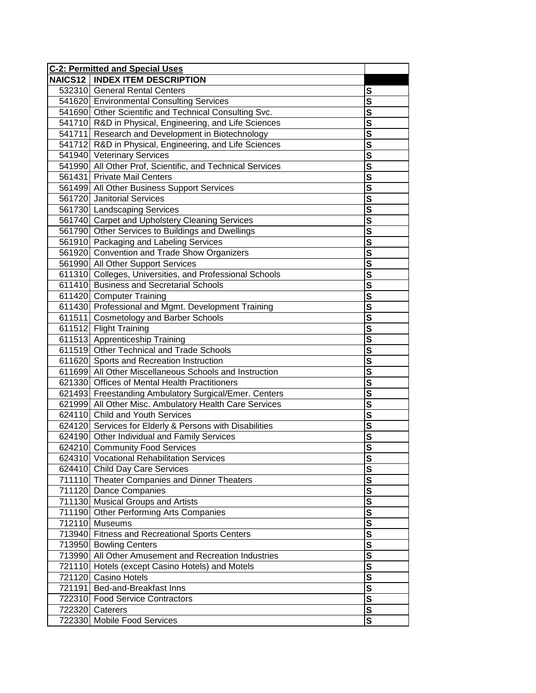| <b>C-2: Permitted and Special Uses</b> |                                                           |                         |
|----------------------------------------|-----------------------------------------------------------|-------------------------|
|                                        | <b>NAICS12   INDEX ITEM DESCRIPTION</b>                   |                         |
|                                        | 532310 General Rental Centers                             | $\overline{\mathbf{s}}$ |
|                                        | 541620 Environmental Consulting Services                  | $\overline{\mathsf{s}}$ |
|                                        | 541690 Other Scientific and Technical Consulting Svc.     | $\overline{\mathbf{s}}$ |
|                                        | 541710 R&D in Physical, Engineering, and Life Sciences    | $\overline{\mathbf{s}}$ |
|                                        | 541711 Research and Development in Biotechnology          | $\overline{\mathsf{s}}$ |
|                                        | 541712 R&D in Physical, Engineering, and Life Sciences    | $\overline{\mathsf{s}}$ |
|                                        | 541940 Veterinary Services                                | $\overline{\mathbf{s}}$ |
|                                        | 541990 All Other Prof, Scientific, and Technical Services | $\overline{\mathbf{s}}$ |
|                                        | 561431 Private Mail Centers                               | $\overline{\mathbf{s}}$ |
|                                        | 561499 All Other Business Support Services                | $\overline{\mathbf{s}}$ |
|                                        | 561720 Janitorial Services                                | $\overline{\mathbf{s}}$ |
|                                        | 561730 Landscaping Services                               | $\overline{\mathbf{s}}$ |
|                                        | 561740 Carpet and Upholstery Cleaning Services            | $\overline{\mathsf{s}}$ |
|                                        | 561790 Other Services to Buildings and Dwellings          | $\overline{\mathsf{s}}$ |
|                                        | 561910 Packaging and Labeling Services                    | $\overline{\mathsf{s}}$ |
|                                        | 561920 Convention and Trade Show Organizers               | $\overline{\mathbf{s}}$ |
|                                        | 561990 All Other Support Services                         | $\overline{\mathsf{s}}$ |
|                                        | 611310 Colleges, Universities, and Professional Schools   | $\frac{s}{s}$           |
|                                        | 611410 Business and Secretarial Schools                   |                         |
|                                        | 611420 Computer Training                                  | $\overline{\mathbf{s}}$ |
|                                        | 611430 Professional and Mgmt. Development Training        | $\overline{\mathbf{s}}$ |
|                                        | 611511 Cosmetology and Barber Schools                     | $\overline{\mathsf{s}}$ |
|                                        | 611512 Flight Training                                    | $\overline{\mathsf{s}}$ |
|                                        | 611513 Apprenticeship Training                            | $\overline{\mathbf{s}}$ |
|                                        | 611519 Other Technical and Trade Schools                  | $\overline{\mathsf{s}}$ |
|                                        | 611620 Sports and Recreation Instruction                  | $\overline{\mathbf{s}}$ |
|                                        | 611699 All Other Miscellaneous Schools and Instruction    | $\overline{\mathsf{s}}$ |
|                                        | 621330 Offices of Mental Health Practitioners             | $\overline{\mathbf{s}}$ |
|                                        | 621493 Freestanding Ambulatory Surgical/Emer. Centers     | $\overline{\mathsf{s}}$ |
|                                        | 621999 All Other Misc. Ambulatory Health Care Services    |                         |
|                                        | 624110 Child and Youth Services                           |                         |
|                                        | 624120 Services for Elderly & Persons with Disabilities   | $\overline{\mathbf{s}}$ |
|                                        | 624190 Other Individual and Family Services               | $\overline{\mathbf{s}}$ |
|                                        | 624210 Community Food Services                            | $\overline{\mathbf{s}}$ |
|                                        | 624310 Vocational Rehabilitation Services                 | <u>s</u>                |
|                                        | 624410 Child Day Care Services                            | S                       |
|                                        | 711110 Theater Companies and Dinner Theaters              | $\mathbf s$             |
|                                        | 711120 Dance Companies                                    | $\overline{\mathbf{s}}$ |
|                                        | 711130 Musical Groups and Artists                         | $\overline{\mathsf{s}}$ |
|                                        | 711190 Other Performing Arts Companies                    | $\overline{\mathsf{s}}$ |
|                                        | 712110 Museums                                            | $\overline{\mathbf{s}}$ |
|                                        | 713940 Fitness and Recreational Sports Centers            | $\overline{\mathbf{s}}$ |
|                                        | 713950 Bowling Centers                                    | $\overline{\mathbf{s}}$ |
|                                        | 713990 All Other Amusement and Recreation Industries      | $\overline{\mathbf{s}}$ |
|                                        | 721110 Hotels (except Casino Hotels) and Motels           | $\overline{\mathsf{s}}$ |
|                                        | 721120 Casino Hotels                                      | $\overline{\mathsf{s}}$ |
|                                        | 721191 Bed-and-Breakfast Inns                             | $\overline{\mathsf{s}}$ |
|                                        | 722310 Food Service Contractors                           |                         |
|                                        | 722320 Caterers                                           | $\overline{\mathbf{s}}$ |
|                                        | 722330 Mobile Food Services                               | $\overline{\mathsf{s}}$ |